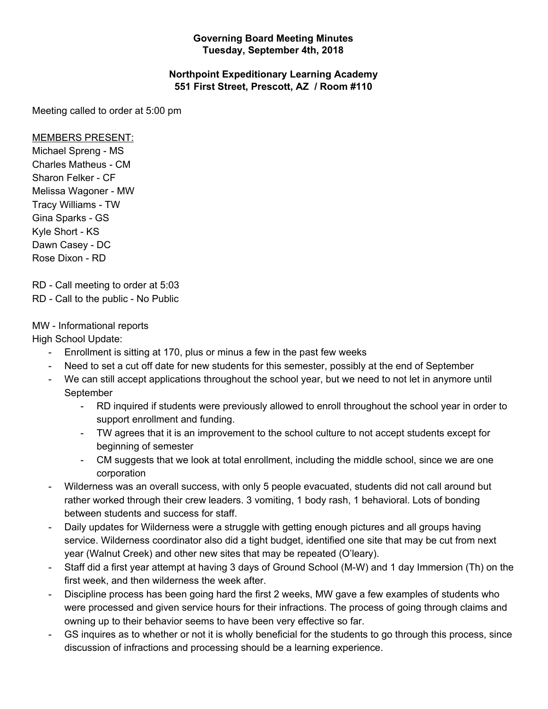## **Governing Board Meeting Minutes Tuesday, September 4th, 2018**

## **Northpoint Expeditionary Learning Academy 551 First Street, Prescott, AZ / Room #110**

Meeting called to order at 5:00 pm

## MEMBERS PRESENT:

Michael Spreng - MS Charles Matheus - CM Sharon Felker - CF Melissa Wagoner - MW Tracy Williams - TW Gina Sparks - GS Kyle Short - KS Dawn Casey - DC Rose Dixon - RD

RD - Call meeting to order at 5:03 RD - Call to the public - No Public

## MW - Informational reports

High School Update:

- Enrollment is sitting at 170, plus or minus a few in the past few weeks
- Need to set a cut off date for new students for this semester, possibly at the end of September
- We can still accept applications throughout the school year, but we need to not let in anymore until September
	- RD inquired if students were previously allowed to enroll throughout the school year in order to support enrollment and funding.
	- TW agrees that it is an improvement to the school culture to not accept students except for beginning of semester
	- CM suggests that we look at total enrollment, including the middle school, since we are one corporation
- Wilderness was an overall success, with only 5 people evacuated, students did not call around but rather worked through their crew leaders. 3 vomiting, 1 body rash, 1 behavioral. Lots of bonding between students and success for staff.
- Daily updates for Wilderness were a struggle with getting enough pictures and all groups having service. Wilderness coordinator also did a tight budget, identified one site that may be cut from next year (Walnut Creek) and other new sites that may be repeated (O'leary).
- Staff did a first year attempt at having 3 days of Ground School (M-W) and 1 day Immersion (Th) on the first week, and then wilderness the week after.
- Discipline process has been going hard the first 2 weeks, MW gave a few examples of students who were processed and given service hours for their infractions. The process of going through claims and owning up to their behavior seems to have been very effective so far.
- GS inquires as to whether or not it is wholly beneficial for the students to go through this process, since discussion of infractions and processing should be a learning experience.